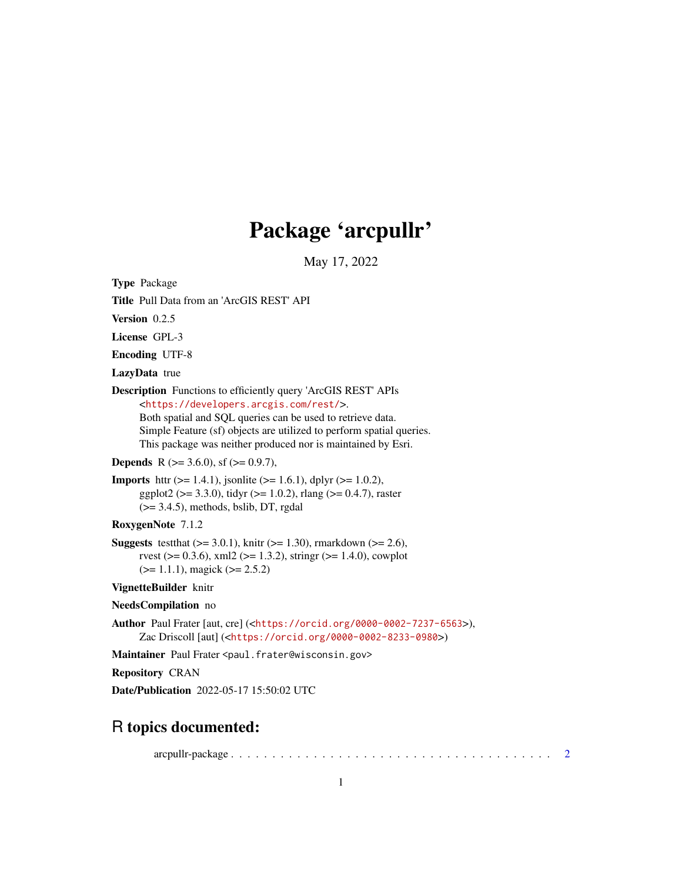# Package 'arcpullr'

May 17, 2022

<span id="page-0-0"></span>Type Package

Title Pull Data from an 'ArcGIS REST' API

Version 0.2.5

License GPL-3

Encoding UTF-8

LazyData true

Description Functions to efficiently query 'ArcGIS REST' APIs <<https://developers.arcgis.com/rest/>>. Both spatial and SQL queries can be used to retrieve data. Simple Feature (sf) objects are utilized to perform spatial queries. This package was neither produced nor is maintained by Esri.

**Depends** R ( $>= 3.6.0$ ), sf ( $>= 0.9.7$ ),

**Imports** httr ( $> = 1.4.1$ ), jsonlite ( $> = 1.6.1$ ), dplyr ( $> = 1.0.2$ ), ggplot2 ( $> = 3.3.0$ ), tidyr ( $> = 1.0.2$ ), rlang ( $> = 0.4.7$ ), raster  $(>= 3.4.5)$ , methods, bslib, DT, rgdal

RoxygenNote 7.1.2

**Suggests** test that  $(>= 3.0.1)$ , knitr  $(>= 1.30)$ , rmarkdown  $(>= 2.6)$ , rvest ( $> = 0.3.6$ ), xml2 ( $> = 1.3.2$ ), stringr ( $> = 1.4.0$ ), cowplot  $(>= 1.1.1)$ , magick  $(>= 2.5.2)$ 

VignetteBuilder knitr

NeedsCompilation no

Author Paul Frater [aut, cre] (<<https://orcid.org/0000-0002-7237-6563>>), Zac Driscoll [aut] (<<https://orcid.org/0000-0002-8233-0980>>)

Maintainer Paul Frater <paul.frater@wisconsin.gov>

Repository CRAN

Date/Publication 2022-05-17 15:50:02 UTC

# R topics documented:

arcpullr-package . . . . . . . . . . . . . . . . . . . . . . . . . . . . . . . . . . . . . . . [2](#page-1-0)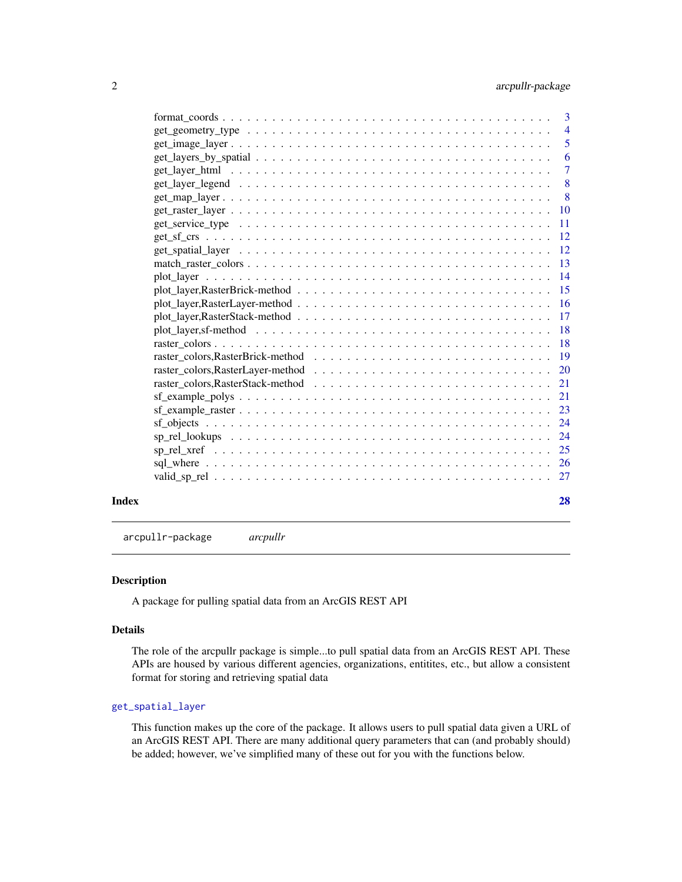<span id="page-1-0"></span>

|       |                                                                                                           | $\overline{3}$            |
|-------|-----------------------------------------------------------------------------------------------------------|---------------------------|
|       | $get\_geometry\_type \dots \dots \dots \dots \dots \dots \dots \dots \dots \dots \dots \dots \dots \dots$ | $\overline{4}$            |
|       | $get\_image\_layer \dots \dots \dots \dots \dots \dots \dots \dots \dots \dots \dots \dots \dots \dots$   | 5                         |
|       |                                                                                                           | $\overline{6}$            |
|       |                                                                                                           | $\overline{7}$            |
|       |                                                                                                           | $\overline{\phantom{0}}8$ |
|       |                                                                                                           |                           |
|       |                                                                                                           |                           |
|       |                                                                                                           |                           |
|       |                                                                                                           |                           |
|       |                                                                                                           |                           |
|       |                                                                                                           |                           |
|       |                                                                                                           |                           |
|       |                                                                                                           |                           |
|       |                                                                                                           |                           |
|       |                                                                                                           |                           |
|       |                                                                                                           |                           |
|       |                                                                                                           |                           |
|       |                                                                                                           |                           |
|       |                                                                                                           |                           |
|       |                                                                                                           |                           |
|       |                                                                                                           |                           |
|       |                                                                                                           |                           |
|       |                                                                                                           |                           |
|       |                                                                                                           |                           |
|       |                                                                                                           |                           |
|       |                                                                                                           |                           |
|       |                                                                                                           |                           |
| Index |                                                                                                           | 28                        |

arcpullr-package *arcpullr*

#### Description

A package for pulling spatial data from an ArcGIS REST API

# Details

The role of the arcpullr package is simple...to pull spatial data from an ArcGIS REST API. These APIs are housed by various different agencies, organizations, entitites, etc., but allow a consistent format for storing and retrieving spatial data

#### [get\\_spatial\\_layer](#page-11-1)

This function makes up the core of the package. It allows users to pull spatial data given a URL of an ArcGIS REST API. There are many additional query parameters that can (and probably should) be added; however, we've simplified many of these out for you with the functions below.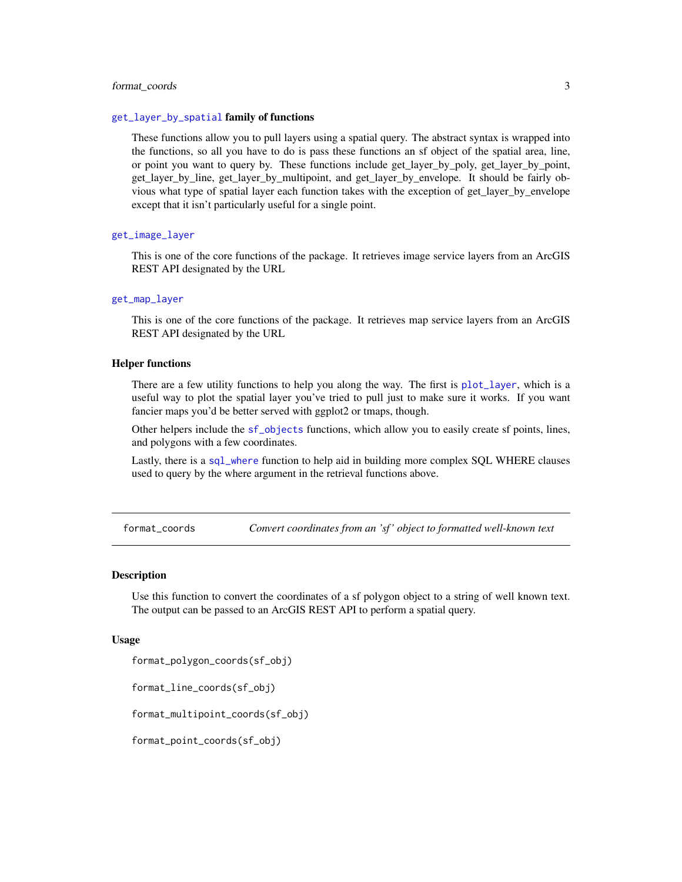### <span id="page-2-0"></span>format\_coords 3

#### [get\\_layer\\_by\\_spatial](#page-5-1) family of functions

These functions allow you to pull layers using a spatial query. The abstract syntax is wrapped into the functions, so all you have to do is pass these functions an sf object of the spatial area, line, or point you want to query by. These functions include get\_layer\_by\_poly, get\_layer\_by\_point, get\_layer\_by\_line, get\_layer\_by\_multipoint, and get\_layer\_by\_envelope. It should be fairly obvious what type of spatial layer each function takes with the exception of get\_layer\_by\_envelope except that it isn't particularly useful for a single point.

#### [get\\_image\\_layer](#page-4-1)

This is one of the core functions of the package. It retrieves image service layers from an ArcGIS REST API designated by the URL

#### [get\\_map\\_layer](#page-7-1)

This is one of the core functions of the package. It retrieves map service layers from an ArcGIS REST API designated by the URL

#### Helper functions

There are a few utility functions to help you along the way. The first is [plot\\_layer](#page-13-1), which is a useful way to plot the spatial layer you've tried to pull just to make sure it works. If you want fancier maps you'd be better served with ggplot2 or tmaps, though.

Other helpers include the [sf\\_objects](#page-23-1) functions, which allow you to easily create sf points, lines, and polygons with a few coordinates.

Lastly, there is a [sql\\_where](#page-25-1) function to help aid in building more complex SQL WHERE clauses used to query by the where argument in the retrieval functions above.

format\_coords *Convert coordinates from an 'sf ' object to formatted well-known text*

#### Description

Use this function to convert the coordinates of a sf polygon object to a string of well known text. The output can be passed to an ArcGIS REST API to perform a spatial query.

#### Usage

format\_polygon\_coords(sf\_obj)

format\_line\_coords(sf\_obj)

format\_multipoint\_coords(sf\_obj)

format\_point\_coords(sf\_obj)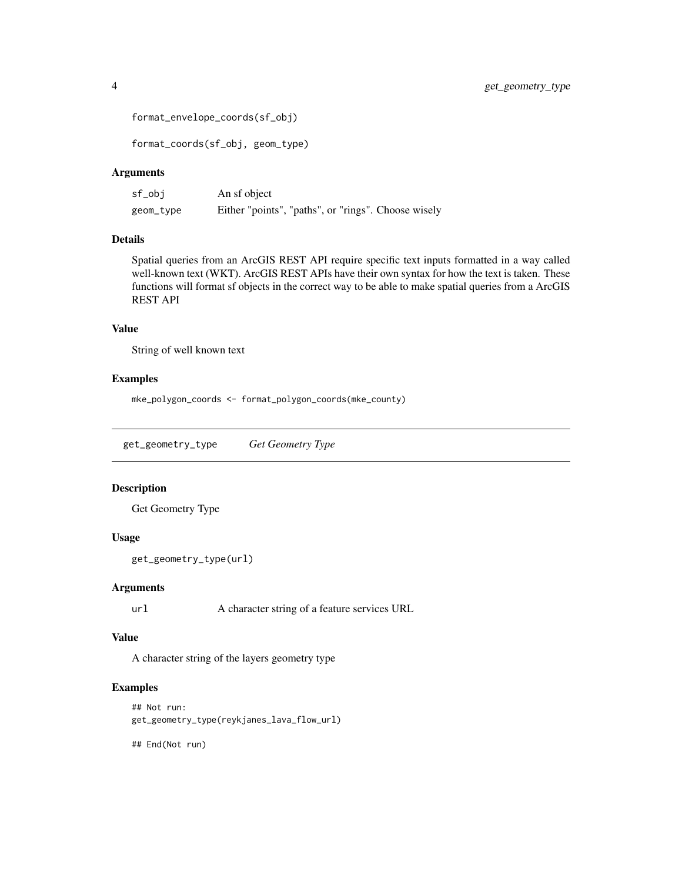```
format_envelope_coords(sf_obj)
```
format\_coords(sf\_obj, geom\_type)

# Arguments

| sf_obj    | An sf object                                        |
|-----------|-----------------------------------------------------|
| geom_type | Either "points", "paths", or "rings". Choose wisely |

# Details

Spatial queries from an ArcGIS REST API require specific text inputs formatted in a way called well-known text (WKT). ArcGIS REST APIs have their own syntax for how the text is taken. These functions will format sf objects in the correct way to be able to make spatial queries from a ArcGIS REST API

#### Value

String of well known text

# Examples

mke\_polygon\_coords <- format\_polygon\_coords(mke\_county)

<span id="page-3-1"></span>get\_geometry\_type *Get Geometry Type*

#### Description

Get Geometry Type

# Usage

```
get_geometry_type(url)
```
# Arguments

url A character string of a feature services URL

#### Value

A character string of the layers geometry type

# Examples

```
## Not run:
get_geometry_type(reykjanes_lava_flow_url)
```
## End(Not run)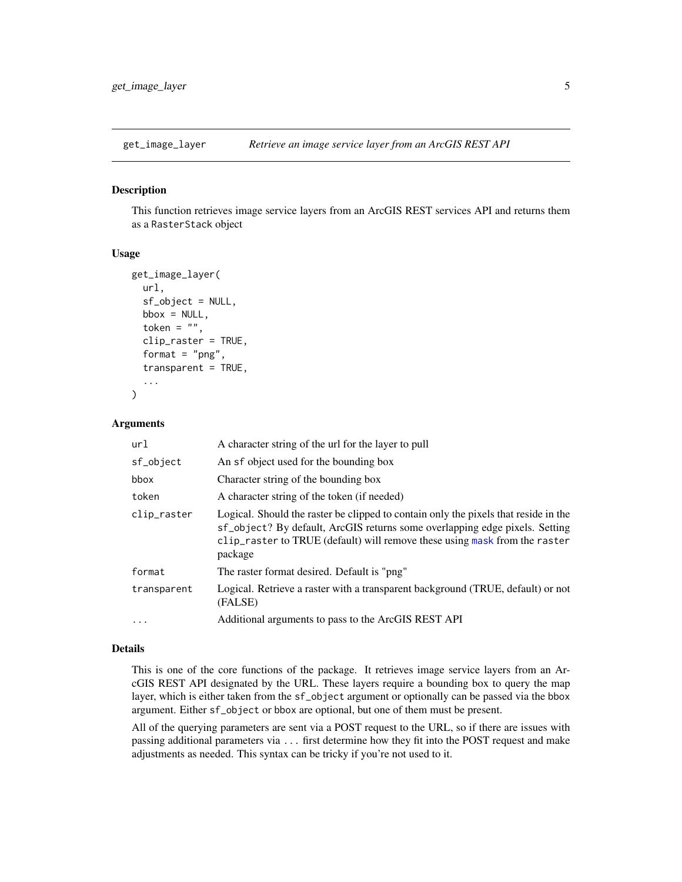<span id="page-4-1"></span><span id="page-4-0"></span>

#### Description

This function retrieves image service layers from an ArcGIS REST services API and returns them as a RasterStack object

#### Usage

```
get_image_layer(
 url,
  sf_object = NULL,
 bbox = NULL,token = ",
  clip_raster = TRUE,
  format = "png",
  transparent = TRUE,
  ...
\lambda
```
#### **Arguments**

| url         | A character string of the url for the layer to pull                                                                                                                                                                                                         |
|-------------|-------------------------------------------------------------------------------------------------------------------------------------------------------------------------------------------------------------------------------------------------------------|
| sf_object   | An sf object used for the bounding box                                                                                                                                                                                                                      |
| bbox        | Character string of the bounding box                                                                                                                                                                                                                        |
| token       | A character string of the token (if needed)                                                                                                                                                                                                                 |
| clip_raster | Logical. Should the raster be clipped to contain only the pixels that reside in the<br>sf_object? By default, ArcGIS returns some overlapping edge pixels. Setting<br>clip_raster to TRUE (default) will remove these using mask from the raster<br>package |
| format      | The raster format desired. Default is "png"                                                                                                                                                                                                                 |
| transparent | Logical. Retrieve a raster with a transparent background (TRUE, default) or not<br>(FALSE)                                                                                                                                                                  |
| $\ddotsc$   | Additional arguments to pass to the ArcGIS REST API                                                                                                                                                                                                         |

# Details

This is one of the core functions of the package. It retrieves image service layers from an ArcGIS REST API designated by the URL. These layers require a bounding box to query the map layer, which is either taken from the sf\_object argument or optionally can be passed via the bbox argument. Either sf\_object or bbox are optional, but one of them must be present.

All of the querying parameters are sent via a POST request to the URL, so if there are issues with passing additional parameters via ... first determine how they fit into the POST request and make adjustments as needed. This syntax can be tricky if you're not used to it.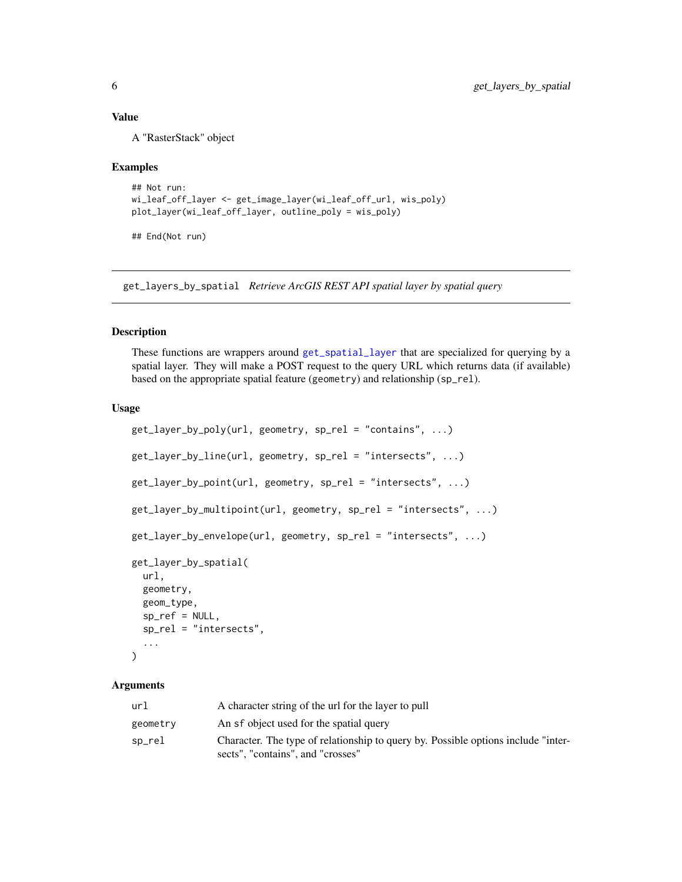# <span id="page-5-0"></span>Value

A "RasterStack" object

#### Examples

```
## Not run:
wi_leaf_off_layer <- get_image_layer(wi_leaf_off_url, wis_poly)
plot_layer(wi_leaf_off_layer, outline_poly = wis_poly)
```
## End(Not run)

<span id="page-5-2"></span>get\_layers\_by\_spatial *Retrieve ArcGIS REST API spatial layer by spatial query*

#### <span id="page-5-1"></span>Description

These functions are wrappers around [get\\_spatial\\_layer](#page-11-1) that are specialized for querying by a spatial layer. They will make a POST request to the query URL which returns data (if available) based on the appropriate spatial feature (geometry) and relationship (sp\_rel).

#### Usage

```
get_layer_by_poly(url, geometry, sp_rel = "contains", ...)
get_layer_by_line(url, geometry, sp_rel = "intersects", ...)
get_layer_by_point(url, geometry, sp_rel = "intersects", ...)
get_layer_by_multipoint(url, geometry, sp_rel = "intersects", ...)
get_layer_by_envelope(url, geometry, sp_rel = "intersects", ...)
get_layer_by_spatial(
  url,
  geometry,
  geom_type,
  sp_ref = NULL,
  sp_rel = "intersects",
  ...
\mathcal{L}
```
# Arguments

| url      | A character string of the url for the layer to pull                               |
|----------|-----------------------------------------------------------------------------------|
| geometry | An sf object used for the spatial query                                           |
| sp_rel   | Character. The type of relationship to query by. Possible options include "inter- |
|          | sects", "contains", and "crosses"                                                 |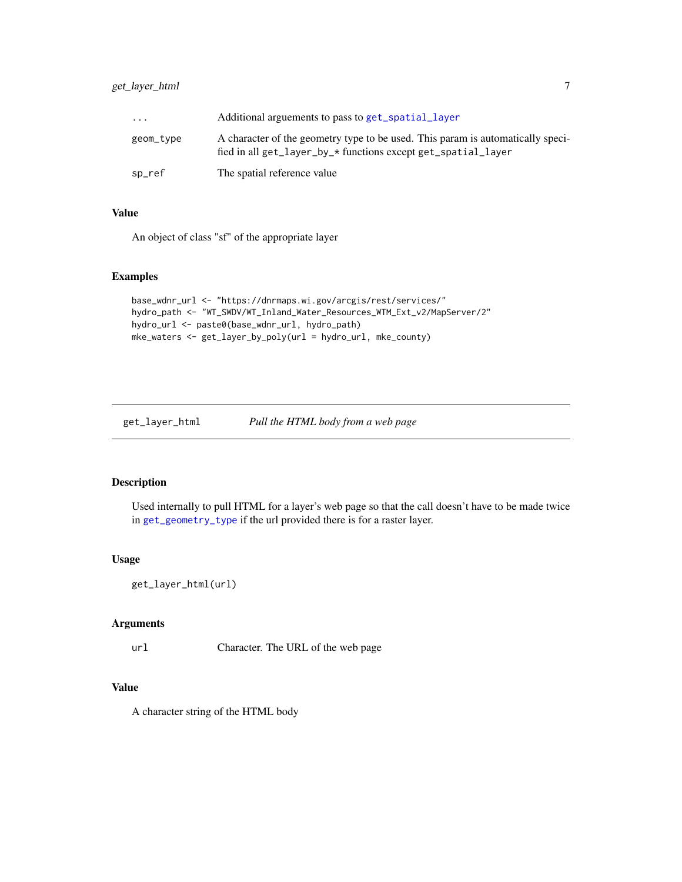<span id="page-6-0"></span>

| .         | Additional arguements to pass to get_spatial_layer                                                                                               |
|-----------|--------------------------------------------------------------------------------------------------------------------------------------------------|
| geom_type | A character of the geometry type to be used. This param is automatically speci-<br>fied in all get_layer_by_* functions except get_spatial_layer |
| sp_ref    | The spatial reference value                                                                                                                      |

# Value

An object of class "sf" of the appropriate layer

#### Examples

```
base_wdnr_url <- "https://dnrmaps.wi.gov/arcgis/rest/services/"
hydro_path <- "WT_SWDV/WT_Inland_Water_Resources_WTM_Ext_v2/MapServer/2"
hydro_url <- paste0(base_wdnr_url, hydro_path)
mke_waters <- get_layer_by_poly(url = hydro_url, mke_county)
```
get\_layer\_html *Pull the HTML body from a web page*

# Description

Used internally to pull HTML for a layer's web page so that the call doesn't have to be made twice in [get\\_geometry\\_type](#page-3-1) if the url provided there is for a raster layer.

#### Usage

get\_layer\_html(url)

#### Arguments

url Character. The URL of the web page

# Value

A character string of the HTML body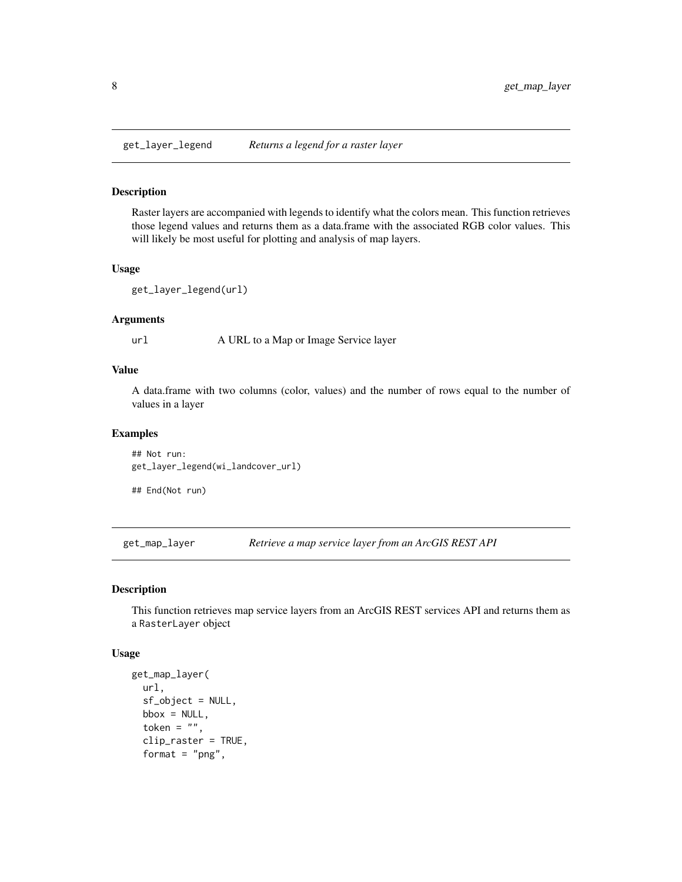<span id="page-7-2"></span><span id="page-7-0"></span>

### Description

Raster layers are accompanied with legends to identify what the colors mean. This function retrieves those legend values and returns them as a data.frame with the associated RGB color values. This will likely be most useful for plotting and analysis of map layers.

# Usage

get\_layer\_legend(url)

#### Arguments

url A URL to a Map or Image Service layer

#### Value

A data.frame with two columns (color, values) and the number of rows equal to the number of values in a layer

#### Examples

## Not run: get\_layer\_legend(wi\_landcover\_url)

## End(Not run)

<span id="page-7-1"></span>get\_map\_layer *Retrieve a map service layer from an ArcGIS REST API*

# Description

This function retrieves map service layers from an ArcGIS REST services API and returns them as a RasterLayer object

#### Usage

```
get_map_layer(
 url,
  sf_object = NULL,
 bbox = NULL,
  token = ",
  clip_raster = TRUE,
  format = "png",
```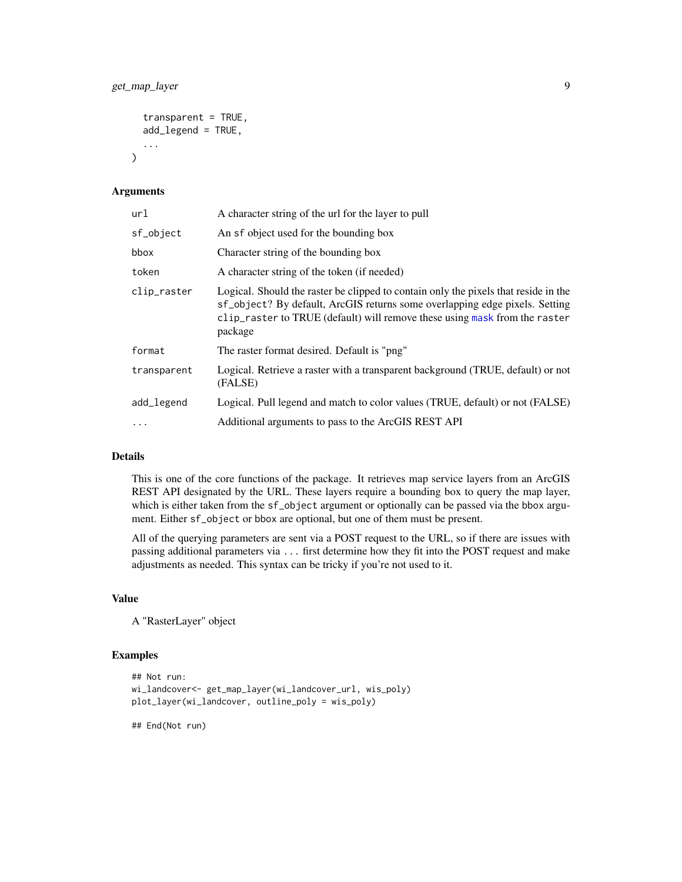```
transparent = TRUE,add_legend = TRUE,
...
```
#### Arguments

 $\lambda$ 

| url         | A character string of the url for the layer to pull                                                                                                                                                                                                         |
|-------------|-------------------------------------------------------------------------------------------------------------------------------------------------------------------------------------------------------------------------------------------------------------|
| sf_object   | An sf object used for the bounding box                                                                                                                                                                                                                      |
| bbox        | Character string of the bounding box                                                                                                                                                                                                                        |
| token       | A character string of the token (if needed)                                                                                                                                                                                                                 |
| clip_raster | Logical. Should the raster be clipped to contain only the pixels that reside in the<br>sf_object? By default, ArcGIS returns some overlapping edge pixels. Setting<br>clip_raster to TRUE (default) will remove these using mask from the raster<br>package |
| format      | The raster format desired. Default is "png"                                                                                                                                                                                                                 |
| transparent | Logical. Retrieve a raster with a transparent background (TRUE, default) or not<br>(FALSE)                                                                                                                                                                  |
| add_legend  | Logical. Pull legend and match to color values (TRUE, default) or not (FALSE)                                                                                                                                                                               |
|             | Additional arguments to pass to the ArcGIS REST API                                                                                                                                                                                                         |

# Details

This is one of the core functions of the package. It retrieves map service layers from an ArcGIS REST API designated by the URL. These layers require a bounding box to query the map layer, which is either taken from the sf<sub>-</sub>object argument or optionally can be passed via the bbox argument. Either sf\_object or bbox are optional, but one of them must be present.

All of the querying parameters are sent via a POST request to the URL, so if there are issues with passing additional parameters via ... first determine how they fit into the POST request and make adjustments as needed. This syntax can be tricky if you're not used to it.

# Value

A "RasterLayer" object

# Examples

```
## Not run:
wi_landcover<- get_map_layer(wi_landcover_url, wis_poly)
plot_layer(wi_landcover, outline_poly = wis_poly)
```
## End(Not run)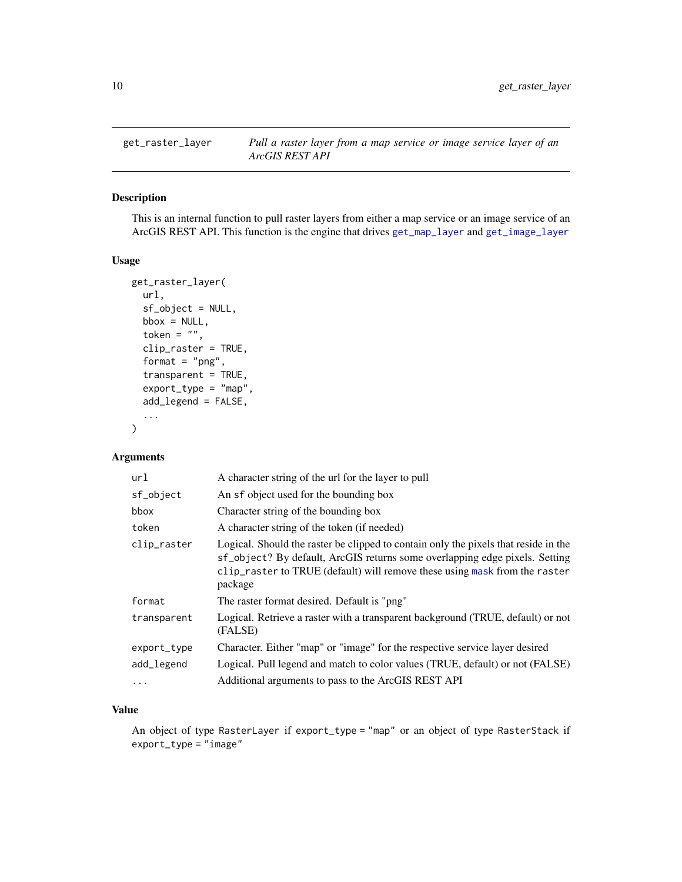<span id="page-9-0"></span>

#### Description

This is an internal function to pull raster layers from either a map service or an image service of an ArcGIS REST API. This function is the engine that drives [get\\_map\\_layer](#page-7-1) and [get\\_image\\_layer](#page-4-1)

#### Usage

```
get_raster_layer(
 url,
  sf_object = NULL,
 bbox = NULL,token = ",
  clip_raster = TRUE,
  format = "png",transparent = TRUE,
  export_type = "map",add_legend = FALSE,
  ...
\mathcal{E}
```
# Arguments

| url         | A character string of the url for the layer to pull                                                                                                                                                                                                         |
|-------------|-------------------------------------------------------------------------------------------------------------------------------------------------------------------------------------------------------------------------------------------------------------|
| sf_object   | An sf object used for the bounding box                                                                                                                                                                                                                      |
| bbox        | Character string of the bounding box                                                                                                                                                                                                                        |
| token       | A character string of the token (if needed)                                                                                                                                                                                                                 |
| clip_raster | Logical. Should the raster be clipped to contain only the pixels that reside in the<br>sf_object? By default, ArcGIS returns some overlapping edge pixels. Setting<br>clip_raster to TRUE (default) will remove these using mask from the raster<br>package |
| format      | The raster format desired. Default is "png"                                                                                                                                                                                                                 |
| transparent | Logical. Retrieve a raster with a transparent background (TRUE, default) or not<br>(FALSE)                                                                                                                                                                  |
| export_type | Character. Either "map" or "image" for the respective service layer desired                                                                                                                                                                                 |
| add_legend  | Logical. Pull legend and match to color values (TRUE, default) or not (FALSE)                                                                                                                                                                               |
| $\cdots$    | Additional arguments to pass to the ArcGIS REST API                                                                                                                                                                                                         |

# Value

An object of type RasterLayer if export\_type = "map" or an object of type RasterStack if export\_type = "image"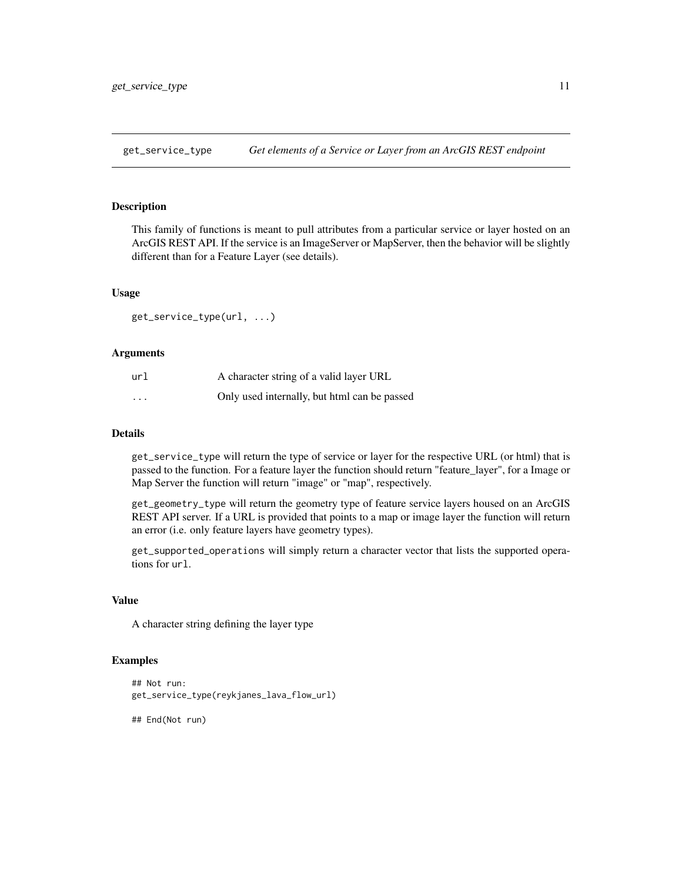<span id="page-10-0"></span>get\_service\_type *Get elements of a Service or Layer from an ArcGIS REST endpoint*

#### Description

This family of functions is meant to pull attributes from a particular service or layer hosted on an ArcGIS REST API. If the service is an ImageServer or MapServer, then the behavior will be slightly different than for a Feature Layer (see details).

# Usage

get\_service\_type(url, ...)

#### Arguments

| url      | A character string of a valid layer URL      |
|----------|----------------------------------------------|
| $\cdots$ | Only used internally, but html can be passed |

# Details

get\_service\_type will return the type of service or layer for the respective URL (or html) that is passed to the function. For a feature layer the function should return "feature\_layer", for a Image or Map Server the function will return "image" or "map", respectively.

get\_geometry\_type will return the geometry type of feature service layers housed on an ArcGIS REST API server. If a URL is provided that points to a map or image layer the function will return an error (i.e. only feature layers have geometry types).

get\_supported\_operations will simply return a character vector that lists the supported operations for url.

# Value

A character string defining the layer type

# Examples

```
## Not run:
get_service_type(reykjanes_lava_flow_url)
```
## End(Not run)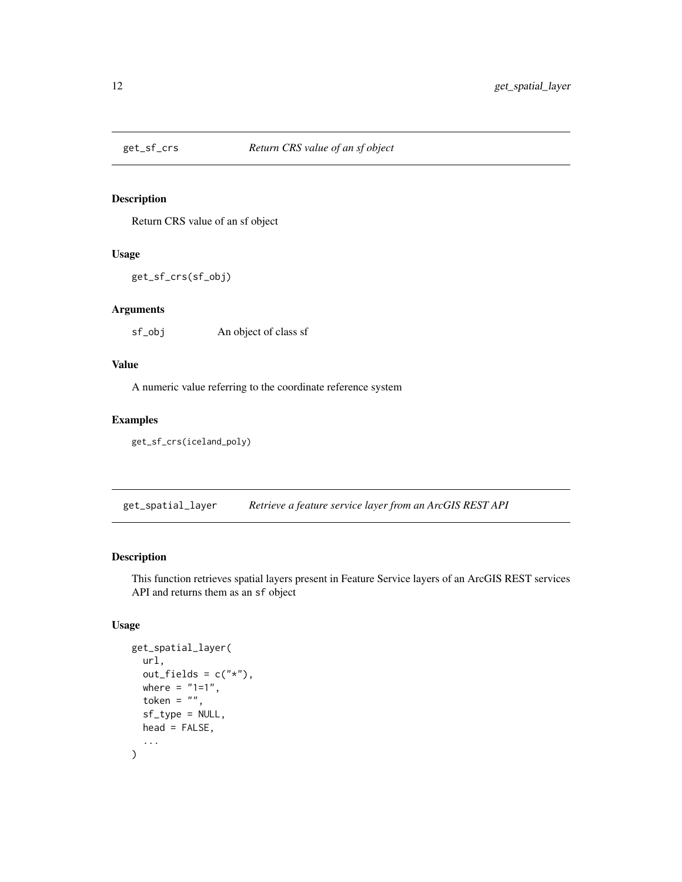<span id="page-11-0"></span>

# Description

Return CRS value of an sf object

# Usage

get\_sf\_crs(sf\_obj)

# Arguments

sf\_obj An object of class sf

# Value

A numeric value referring to the coordinate reference system

# Examples

get\_sf\_crs(iceland\_poly)

<span id="page-11-1"></span>get\_spatial\_layer *Retrieve a feature service layer from an ArcGIS REST API*

# Description

This function retrieves spatial layers present in Feature Service layers of an ArcGIS REST services API and returns them as an sf object

# Usage

```
get_spatial_layer(
  url,
  out_fields = c("*"),where = "1=1",token = ",
  sf_type = NULL,
 head = FALSE,...
\mathcal{E}
```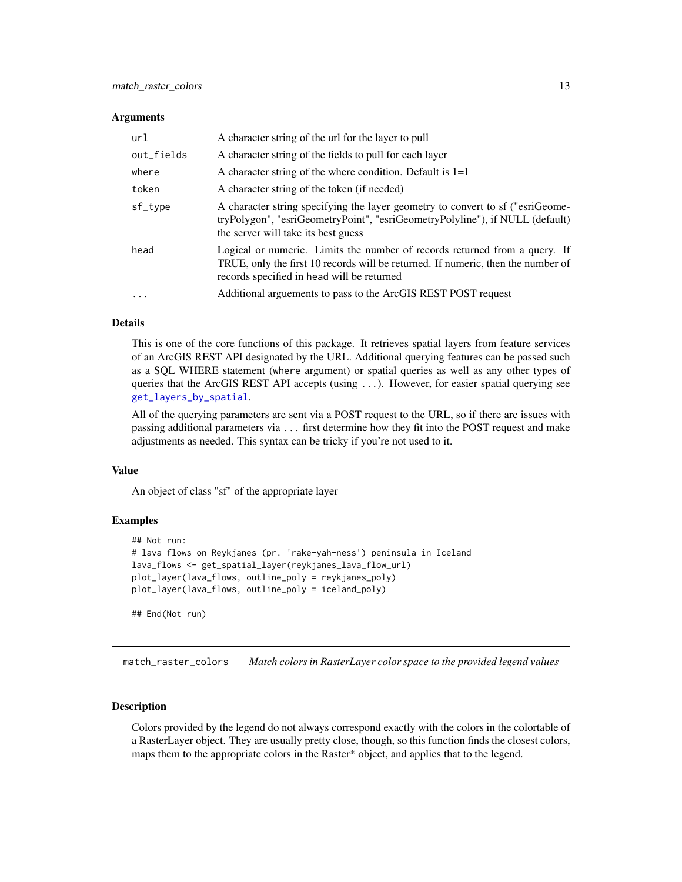#### <span id="page-12-0"></span>**Arguments**

| url        | A character string of the url for the layer to pull                                                                                                                                                          |
|------------|--------------------------------------------------------------------------------------------------------------------------------------------------------------------------------------------------------------|
| out_fields | A character string of the fields to pull for each layer                                                                                                                                                      |
| where      | A character string of the where condition. Default is $1=1$                                                                                                                                                  |
| token      | A character string of the token (if needed)                                                                                                                                                                  |
| sf_type    | A character string specifying the layer geometry to convert to sf ("esriGeome-<br>tryPolygon", "esriGeometryPoint", "esriGeometryPolyline"), if NULL (default)<br>the server will take its best guess        |
| head       | Logical or numeric. Limits the number of records returned from a query. If<br>TRUE, only the first 10 records will be returned. If numeric, then the number of<br>records specified in head will be returned |
| $\ddots$ . | Additional arguements to pass to the ArcGIS REST POST request                                                                                                                                                |

#### Details

This is one of the core functions of this package. It retrieves spatial layers from feature services of an ArcGIS REST API designated by the URL. Additional querying features can be passed such as a SQL WHERE statement (where argument) or spatial queries as well as any other types of queries that the ArcGIS REST API accepts (using ...). However, for easier spatial querying see [get\\_layers\\_by\\_spatial](#page-5-2).

All of the querying parameters are sent via a POST request to the URL, so if there are issues with passing additional parameters via ... first determine how they fit into the POST request and make adjustments as needed. This syntax can be tricky if you're not used to it.

# Value

An object of class "sf" of the appropriate layer

# Examples

```
## Not run:
# lava flows on Reykjanes (pr. 'rake-yah-ness') peninsula in Iceland
lava_flows <- get_spatial_layer(reykjanes_lava_flow_url)
plot_layer(lava_flows, outline_poly = reykjanes_poly)
plot_layer(lava_flows, outline_poly = iceland_poly)
## End(Not run)
```
match\_raster\_colors *Match colors in RasterLayer color space to the provided legend values*

# Description

Colors provided by the legend do not always correspond exactly with the colors in the colortable of a RasterLayer object. They are usually pretty close, though, so this function finds the closest colors, maps them to the appropriate colors in the Raster\* object, and applies that to the legend.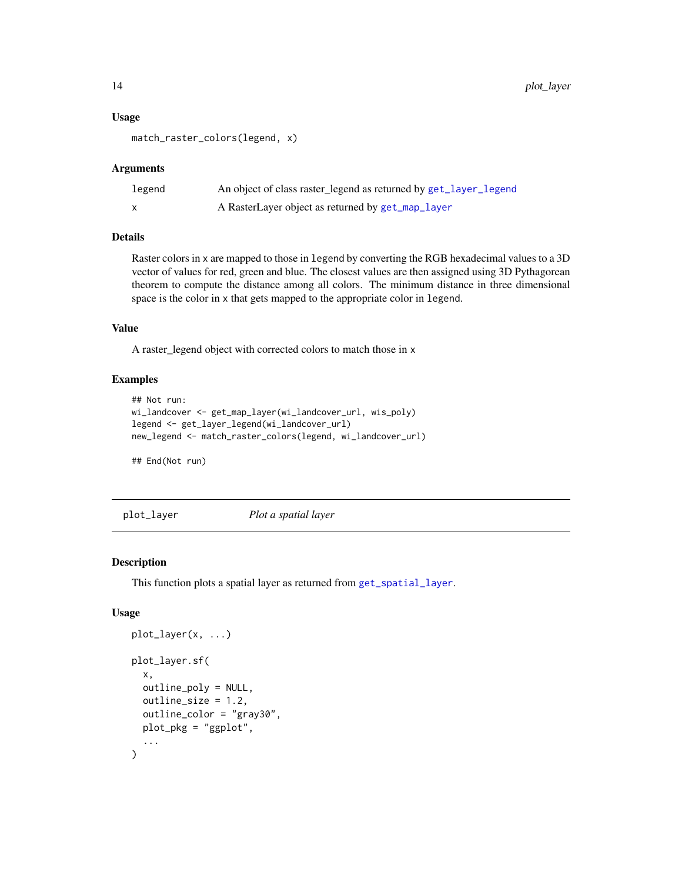#### Usage

```
match_raster_colors(legend, x)
```
#### Arguments

| legend | An object of class raster_legend as returned by get_layer_legend |
|--------|------------------------------------------------------------------|
|        | A RasterLayer object as returned by get_map_layer                |

# Details

Raster colors in x are mapped to those in legend by converting the RGB hexadecimal values to a 3D vector of values for red, green and blue. The closest values are then assigned using 3D Pythagorean theorem to compute the distance among all colors. The minimum distance in three dimensional space is the color in x that gets mapped to the appropriate color in legend.

# Value

A raster\_legend object with corrected colors to match those in x

# Examples

```
## Not run:
wi_landcover <- get_map_layer(wi_landcover_url, wis_poly)
legend <- get_layer_legend(wi_landcover_url)
new_legend <- match_raster_colors(legend, wi_landcover_url)
```
## End(Not run)

<span id="page-13-1"></span>plot\_layer *Plot a spatial layer*

#### Description

This function plots a spatial layer as returned from [get\\_spatial\\_layer](#page-11-1).

# Usage

```
plot_layer(x, ...)
plot_layer.sf(
 x,
  outline_poly = NULL,
 outline_size = 1.2,
  outline_color = "gray30",
 plot_pkg = "ggplot",
  ...
)
```
<span id="page-13-0"></span>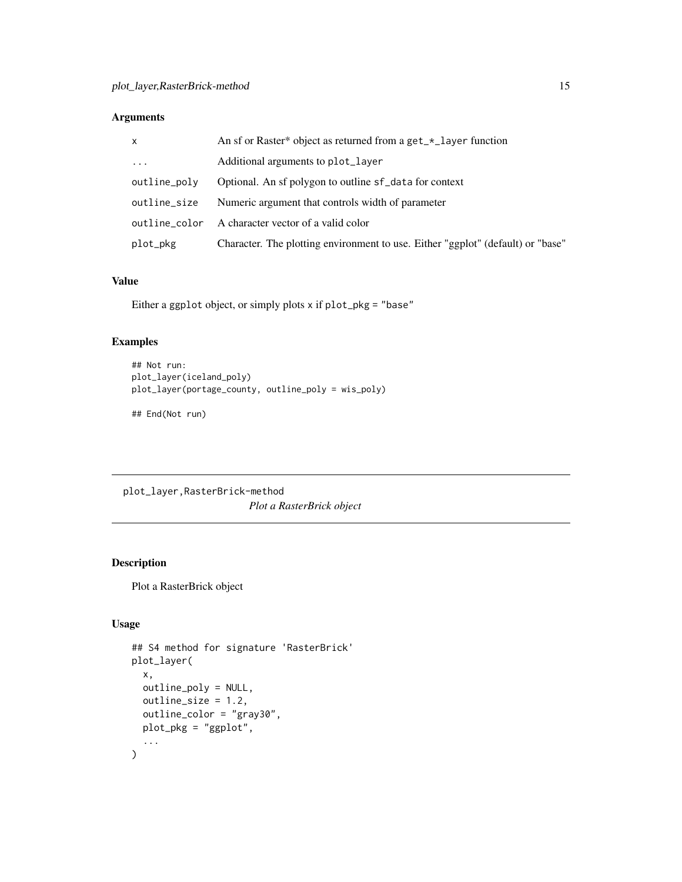# <span id="page-14-0"></span>Arguments

| $\mathsf{x}$  | An sf or Raster* object as returned from a get_*_layer function                 |
|---------------|---------------------------------------------------------------------------------|
| $\cdots$      | Additional arguments to plot_layer                                              |
| outline_poly  | Optional. An sf polygon to outline sf_data for context                          |
| outline_size  | Numeric argument that controls width of parameter                               |
| outline color | A character vector of a valid color                                             |
| plot_pkg      | Character. The plotting environment to use. Either "ggplot" (default) or "base" |

#### Value

Either a ggplot object, or simply plots x if plot\_pkg = "base"

# Examples

```
## Not run:
plot_layer(iceland_poly)
plot_layer(portage_county, outline_poly = wis_poly)
```
## End(Not run)

plot\_layer,RasterBrick-method *Plot a RasterBrick object*

# Description

Plot a RasterBrick object

# Usage

```
## S4 method for signature 'RasterBrick'
plot_layer(
 x,
 outline_poly = NULL,
 outline_size = 1.2,
 outline_color = "gray30",
 plot_pkg = "ggplot",
  ...
\mathcal{E}
```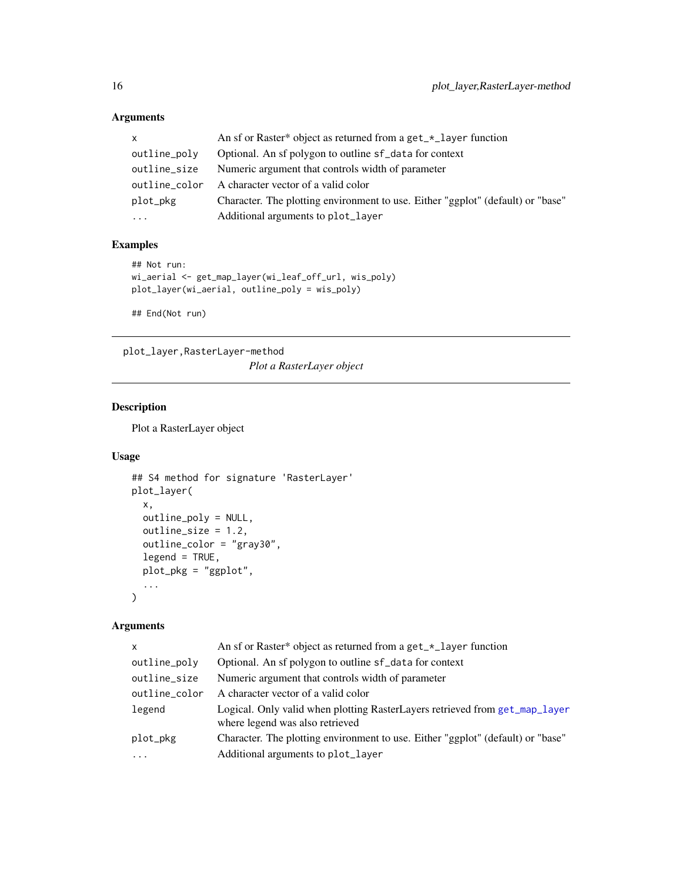# Arguments

| $\times$      | An sf or Raster* object as returned from a get_*_layer function                 |
|---------------|---------------------------------------------------------------------------------|
| outline_poly  | Optional. An sf polygon to outline sf_data for context                          |
| outline_size  | Numeric argument that controls width of parameter                               |
| outline_color | A character vector of a valid color                                             |
| plot_pkg      | Character. The plotting environment to use. Either "ggplot" (default) or "base" |
| $\cdots$      | Additional arguments to plot_layer                                              |

# Examples

```
## Not run:
wi_aerial <- get_map_layer(wi_leaf_off_url, wis_poly)
plot_layer(wi_aerial, outline_poly = wis_poly)
## End(Not run)
```
plot\_layer,RasterLayer-method

*Plot a RasterLayer object*

# Description

Plot a RasterLayer object

# Usage

```
## S4 method for signature 'RasterLayer'
plot_layer(
  x,
 outline_poly = NULL,
 outline_size = 1.2,
 outline_color = "gray30",
 legend = TRUE,
 plot_pkg = "ggplot",
  ...
\mathcal{L}
```
# Arguments

| $\mathsf{x}$        | An sf or Raster* object as returned from a get_*_layer function                                                |
|---------------------|----------------------------------------------------------------------------------------------------------------|
| outline_poly        | Optional. An sf polygon to outline sf_data for context                                                         |
| outline_size        | Numeric argument that controls width of parameter                                                              |
| outline_color       | A character vector of a valid color                                                                            |
| legend              | Logical. Only valid when plotting RasterLayers retrieved from get_map_layer<br>where legend was also retrieved |
| plot_pkg            | Character. The plotting environment to use. Either "ggplot" (default) or "base"                                |
| $\cdot \cdot \cdot$ | Additional arguments to plot_layer                                                                             |

<span id="page-15-0"></span>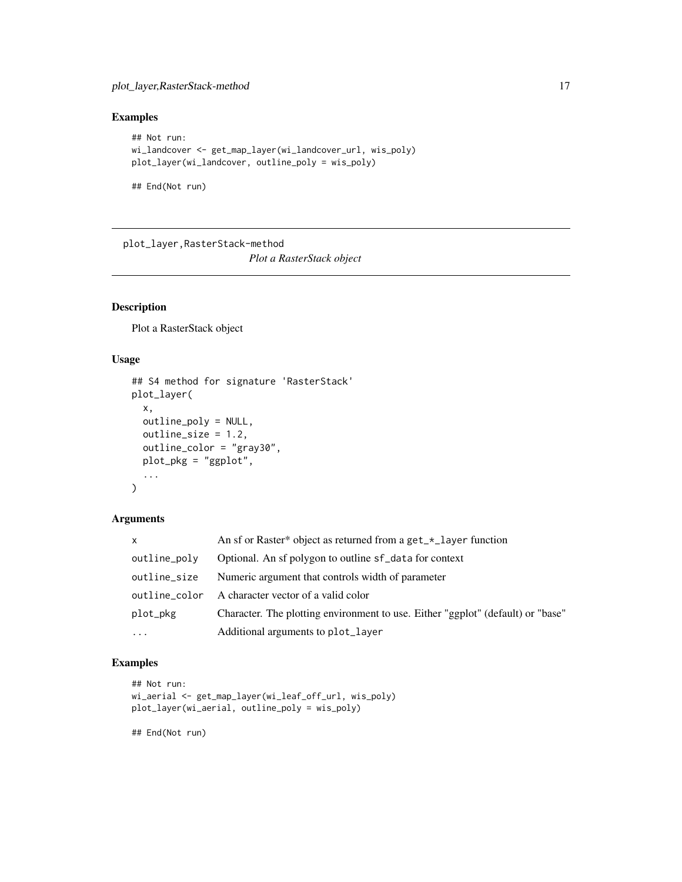# <span id="page-16-0"></span>plot\_layer,RasterStack-method 17

# Examples

```
## Not run:
wi_landcover <- get_map_layer(wi_landcover_url, wis_poly)
plot_layer(wi_landcover, outline_poly = wis_poly)
```
## End(Not run)

plot\_layer,RasterStack-method *Plot a RasterStack object*

# Description

Plot a RasterStack object

# Usage

```
## S4 method for signature 'RasterStack'
plot_layer(
 x,
 outline_poly = NULL,
 outline_size = 1.2,
 outline_color = "gray30",
 plot_pkg = "ggplot",
  ...
\mathcal{L}
```
# Arguments

| $\mathsf{x}$  | An sf or Raster* object as returned from a get_*_layer function                 |
|---------------|---------------------------------------------------------------------------------|
| outline_poly  | Optional. An sf polygon to outline sf_data for context                          |
| outline_size  | Numeric argument that controls width of parameter                               |
| outline color | A character vector of a valid color                                             |
| plot_pkg      | Character. The plotting environment to use. Either "ggplot" (default) or "base" |
| $\cdots$      | Additional arguments to plot_layer                                              |

# Examples

```
## Not run:
wi_aerial <- get_map_layer(wi_leaf_off_url, wis_poly)
plot_layer(wi_aerial, outline_poly = wis_poly)
```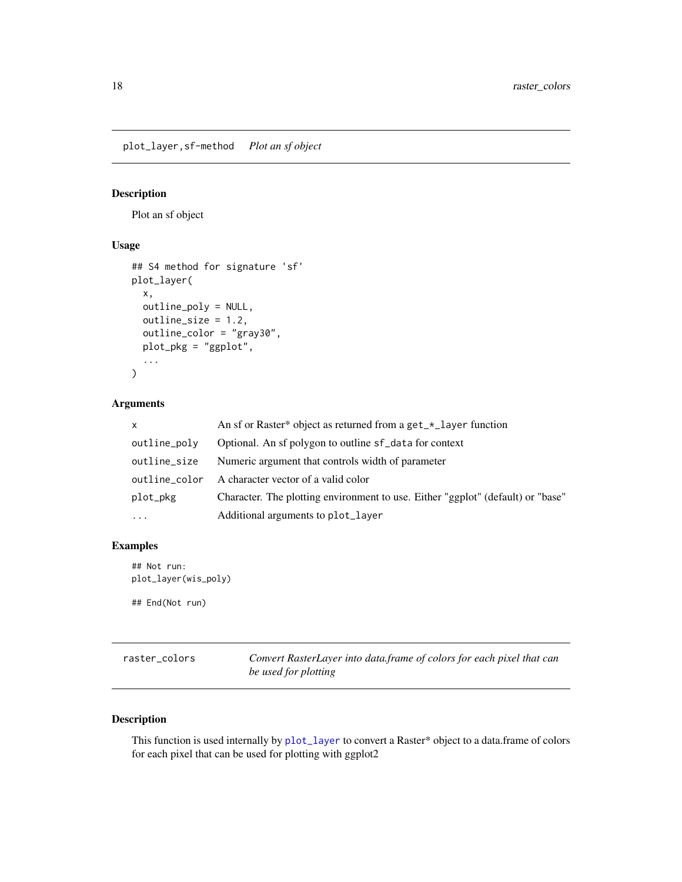<span id="page-17-0"></span>plot\_layer,sf-method *Plot an sf object*

# Description

Plot an sf object

# Usage

```
## S4 method for signature 'sf'
plot_layer(
  x,
 outline_poly = NULL,
 outline_size = 1.2,
 outline_color = "gray30",
 plot_pkg = "ggplot",
  ...
)
```
# Arguments

| $\mathsf{x}$  | An sf or Raster* object as returned from a get_*_layer function                 |
|---------------|---------------------------------------------------------------------------------|
| outline_poly  | Optional. An sf polygon to outline sf_data for context                          |
| outline_size  | Numeric argument that controls width of parameter                               |
| outline_color | A character vector of a valid color                                             |
| plot_pkg      | Character. The plotting environment to use. Either "ggplot" (default) or "base" |
| $\cdots$      | Additional arguments to plot_layer                                              |

# Examples

```
## Not run:
plot_layer(wis_poly)
## End(Not run)
```
raster\_colors *Convert RasterLayer into data.frame of colors for each pixel that can be used for plotting*

# Description

This function is used internally by [plot\\_layer](#page-13-1) to convert a Raster\* object to a data.frame of colors for each pixel that can be used for plotting with ggplot2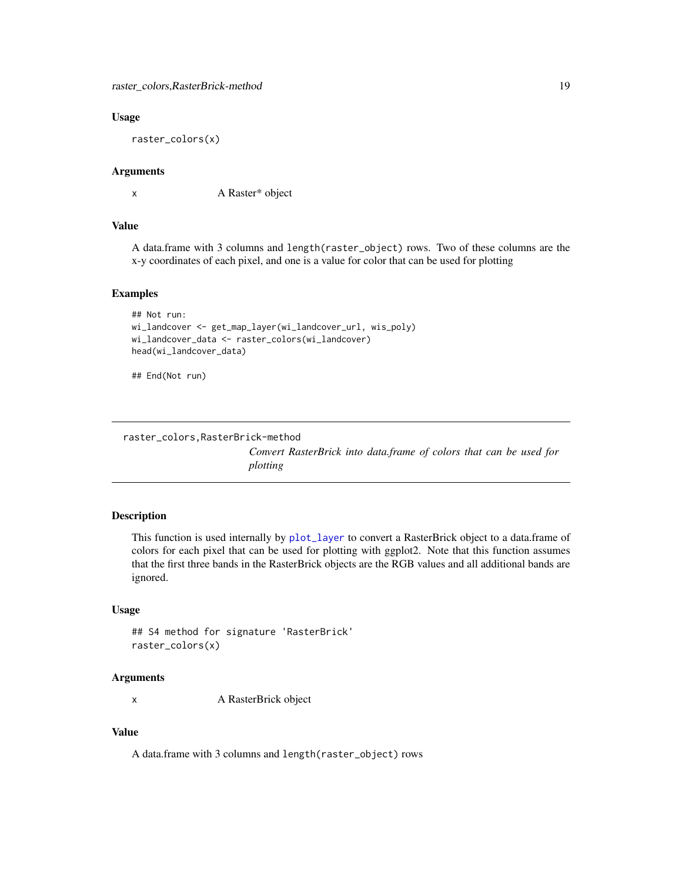#### <span id="page-18-0"></span>Usage

raster\_colors(x)

#### Arguments

x A Raster\* object

#### Value

A data.frame with 3 columns and length(raster\_object) rows. Two of these columns are the x-y coordinates of each pixel, and one is a value for color that can be used for plotting

# Examples

```
## Not run:
wi_landcover <- get_map_layer(wi_landcover_url, wis_poly)
wi_landcover_data <- raster_colors(wi_landcover)
head(wi_landcover_data)
```
## End(Not run)

```
raster_colors,RasterBrick-method
```
*Convert RasterBrick into data.frame of colors that can be used for plotting*

#### Description

This function is used internally by [plot\\_layer](#page-13-1) to convert a RasterBrick object to a data.frame of colors for each pixel that can be used for plotting with ggplot2. Note that this function assumes that the first three bands in the RasterBrick objects are the RGB values and all additional bands are ignored.

#### Usage

```
## S4 method for signature 'RasterBrick'
raster_colors(x)
```
# Arguments

x A RasterBrick object

# Value

A data.frame with 3 columns and length(raster\_object) rows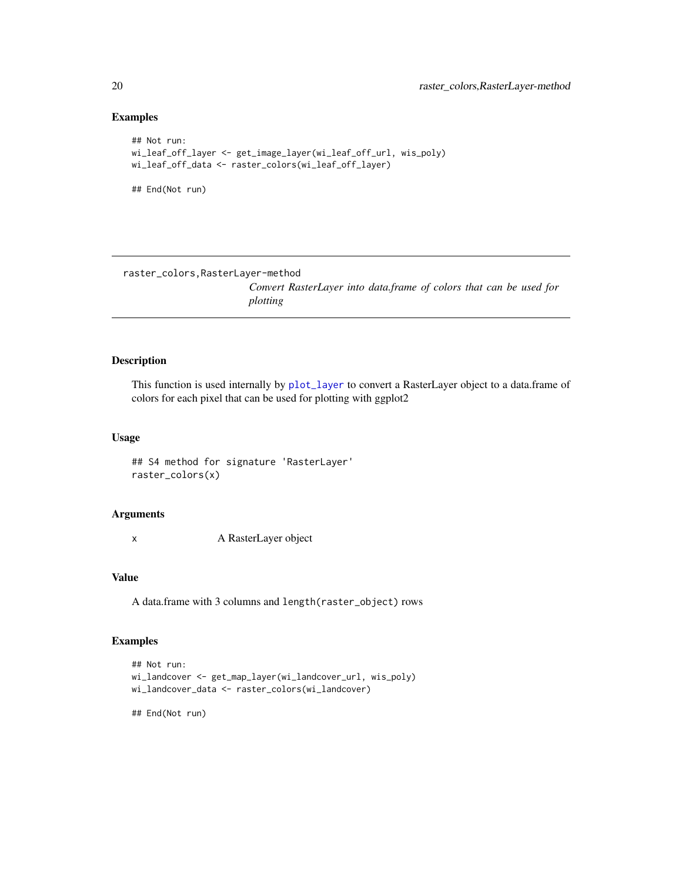# Examples

```
## Not run:
wi_leaf_off_layer <- get_image_layer(wi_leaf_off_url, wis_poly)
wi_leaf_off_data <- raster_colors(wi_leaf_off_layer)
## End(Not run)
```
raster\_colors,RasterLayer-method

*Convert RasterLayer into data.frame of colors that can be used for plotting*

# Description

This function is used internally by [plot\\_layer](#page-13-1) to convert a RasterLayer object to a data.frame of colors for each pixel that can be used for plotting with ggplot2

#### Usage

## S4 method for signature 'RasterLayer' raster\_colors(x)

# Arguments

x A RasterLayer object

# Value

A data.frame with 3 columns and length(raster\_object) rows

#### Examples

```
## Not run:
wi_landcover <- get_map_layer(wi_landcover_url, wis_poly)
wi_landcover_data <- raster_colors(wi_landcover)
## End(Not run)
```
<span id="page-19-0"></span>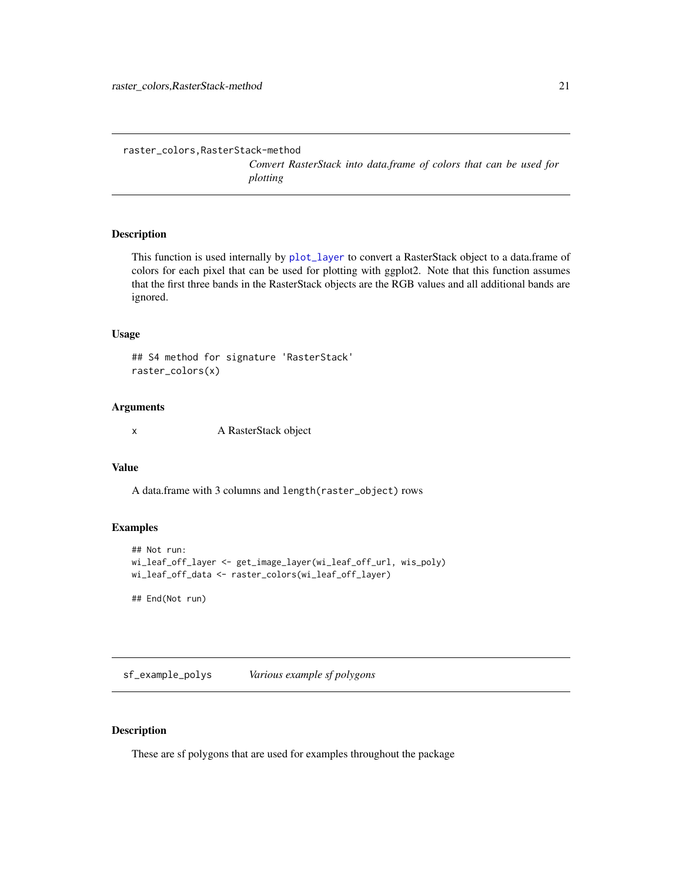*Convert RasterStack into data.frame of colors that can be used for plotting*

#### <span id="page-20-0"></span>Description

This function is used internally by [plot\\_layer](#page-13-1) to convert a RasterStack object to a data.frame of colors for each pixel that can be used for plotting with ggplot2. Note that this function assumes that the first three bands in the RasterStack objects are the RGB values and all additional bands are ignored.

#### Usage

## S4 method for signature 'RasterStack' raster\_colors(x)

#### Arguments

x A RasterStack object

#### Value

A data.frame with 3 columns and length(raster\_object) rows

# Examples

```
## Not run:
wi_leaf_off_layer <- get_image_layer(wi_leaf_off_url, wis_poly)
wi_leaf_off_data <- raster_colors(wi_leaf_off_layer)
```
## End(Not run)

sf\_example\_polys *Various example sf polygons*

# Description

These are sf polygons that are used for examples throughout the package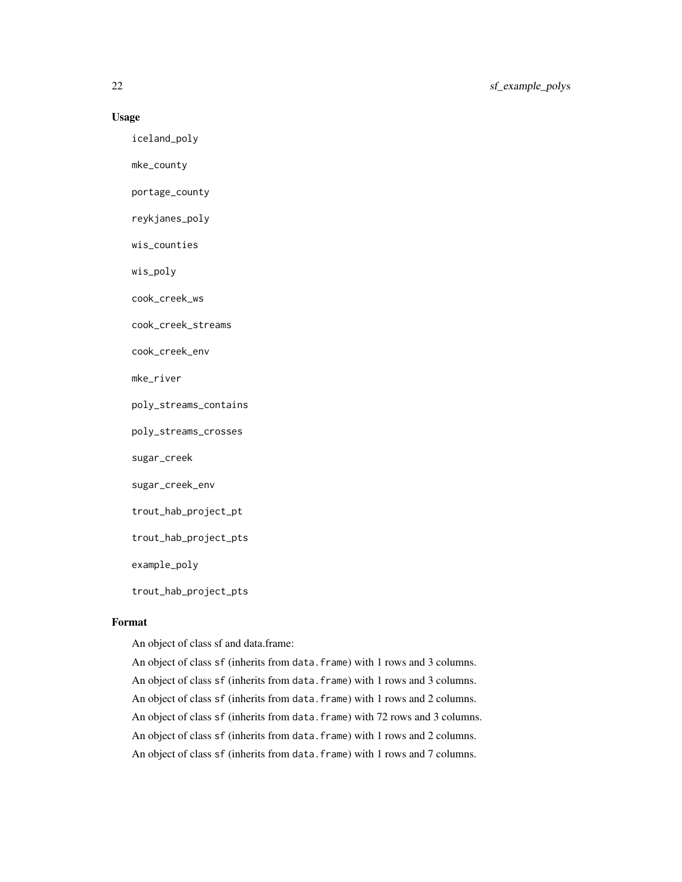# Usage

iceland\_poly

mke\_county

portage\_county

reykjanes\_poly

wis\_counties

wis\_poly

cook\_creek\_ws

cook\_creek\_streams

cook\_creek\_env

mke\_river

poly\_streams\_contains

poly\_streams\_crosses

sugar\_creek

sugar\_creek\_env

trout\_hab\_project\_pt

trout\_hab\_project\_pts

example\_poly

trout\_hab\_project\_pts

# Format

An object of class sf and data.frame:

An object of class sf (inherits from data.frame) with 1 rows and 3 columns. An object of class sf (inherits from data.frame) with 1 rows and 3 columns. An object of class sf (inherits from data.frame) with 1 rows and 2 columns. An object of class sf (inherits from data.frame) with 72 rows and 3 columns. An object of class sf (inherits from data.frame) with 1 rows and 2 columns. An object of class sf (inherits from data.frame) with 1 rows and 7 columns.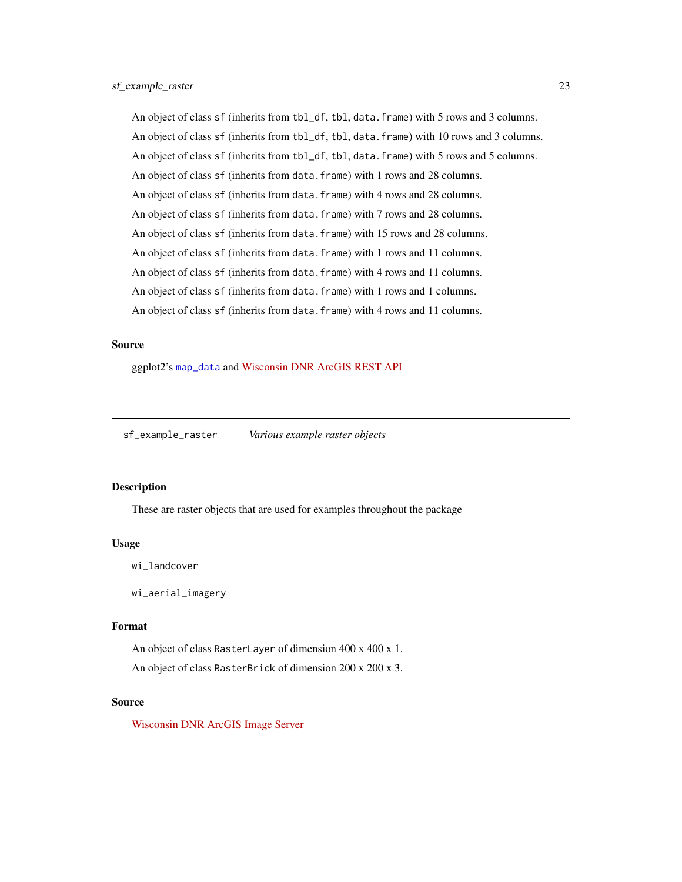<span id="page-22-0"></span>An object of class sf (inherits from tbl\_df, tbl, data.frame) with 5 rows and 3 columns. An object of class sf (inherits from tbl\_df, tbl, data.frame) with 10 rows and 3 columns. An object of class sf (inherits from tbl\_df, tbl, data.frame) with 5 rows and 5 columns. An object of class sf (inherits from data.frame) with 1 rows and 28 columns. An object of class sf (inherits from data.frame) with 4 rows and 28 columns. An object of class sf (inherits from data.frame) with 7 rows and 28 columns. An object of class sf (inherits from data.frame) with 15 rows and 28 columns. An object of class sf (inherits from data.frame) with 1 rows and 11 columns. An object of class sf (inherits from data.frame) with 4 rows and 11 columns. An object of class sf (inherits from data.frame) with 1 rows and 1 columns. An object of class sf (inherits from data.frame) with 4 rows and 11 columns.

#### Source

ggplot2's [map\\_data](#page-0-0) and [Wisconsin DNR ArcGIS REST API](https://dnrmaps.wi.gov/arcgis/rest/services)

sf\_example\_raster *Various example raster objects*

#### Description

These are raster objects that are used for examples throughout the package

#### Usage

```
wi_landcover
```
wi\_aerial\_imagery

#### Format

An object of class RasterLayer of dimension 400 x 400 x 1.

An object of class RasterBrick of dimension 200 x 200 x 3.

#### Source

[Wisconsin DNR ArcGIS Image Server](https://dnrmaps.wi.gov/arcgis_image/rest/services)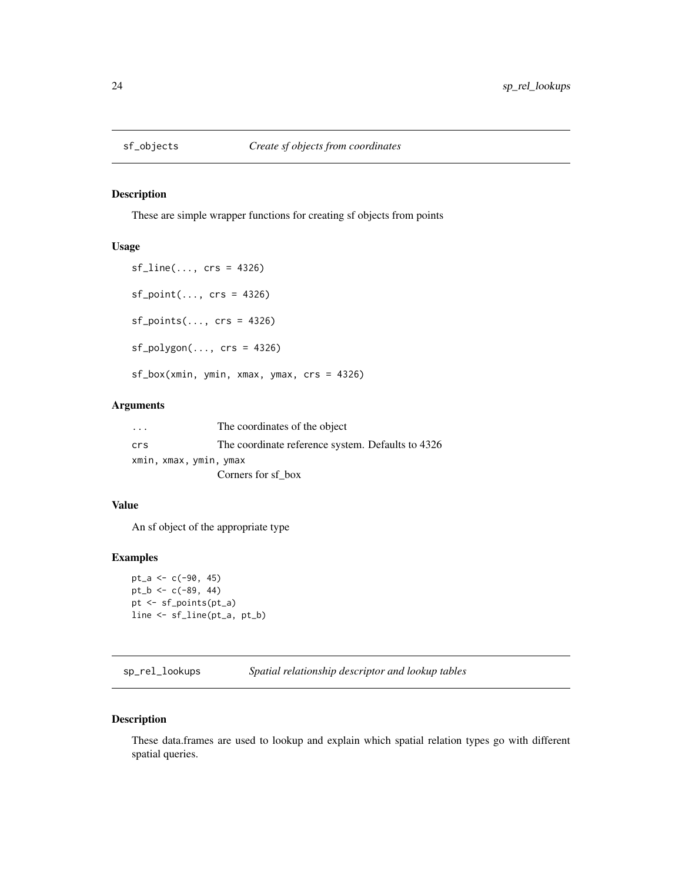<span id="page-23-1"></span><span id="page-23-0"></span>

# Description

These are simple wrapper functions for creating sf objects from points

# Usage

sf\_line(..., crs = 4326)  $sf\_point(..., crs = 4326)$ sf\_points(..., crs = 4326)  $sf\_polygon(..., crs = 4326)$ sf\_box(xmin, ymin, xmax, ymax, crs = 4326)

# Arguments

| $\cdot$ | The coordinates of the object                     |
|---------|---------------------------------------------------|
| crs     | The coordinate reference system. Defaults to 4326 |
|         | xmin, xmax, ymin, ymax                            |
|         | Corners for sf box                                |

#### Value

An sf object of the appropriate type

# Examples

```
pt_a <- c(-90, 45)pt_b <- c(-89, 44)pt <- sf_points(pt_a)
line <- sf_line(pt_a, pt_b)
```
sp\_rel\_lookups *Spatial relationship descriptor and lookup tables*

# Description

These data.frames are used to lookup and explain which spatial relation types go with different spatial queries.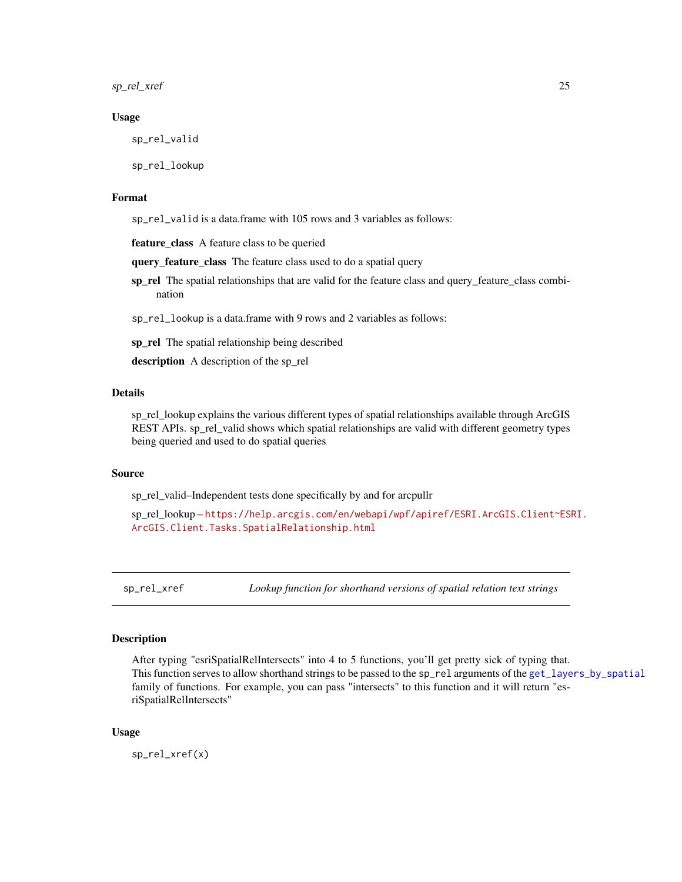<span id="page-24-0"></span>sp\_rel\_xref 25

#### Usage

sp\_rel\_valid

sp\_rel\_lookup

# Format

sp\_rel\_valid is a data.frame with 105 rows and 3 variables as follows:

feature\_class A feature class to be queried

query\_feature\_class The feature class used to do a spatial query

sp\_rel The spatial relationships that are valid for the feature class and query\_feature\_class combination

sp\_rel\_lookup is a data.frame with 9 rows and 2 variables as follows:

sp\_rel The spatial relationship being described

description A description of the sp\_rel

# Details

sp\_rel\_lookup explains the various different types of spatial relationships available through ArcGIS REST APIs. sp\_rel\_valid shows which spatial relationships are valid with different geometry types being queried and used to do spatial queries

#### Source

sp\_rel\_valid–Independent tests done specifically by and for arcpullr

sp\_rel\_lookup – [https://help.arcgis.com/en/webapi/wpf/apiref/ESRI.ArcGIS.Client~ESR](https://help.arcgis.com/en/webapi/wpf/apiref/ESRI.ArcGIS.Client~ESRI.ArcGIS.Client.Tasks.SpatialRelationship.html)I. [ArcGIS.Client.Tasks.SpatialRelationship.html](https://help.arcgis.com/en/webapi/wpf/apiref/ESRI.ArcGIS.Client~ESRI.ArcGIS.Client.Tasks.SpatialRelationship.html)

sp\_rel\_xref *Lookup function for shorthand versions of spatial relation text strings*

#### **Description**

After typing "esriSpatialRelIntersects" into 4 to 5 functions, you'll get pretty sick of typing that. This function serves to allow shorthand strings to be passed to the sp\_rel arguments of the [get\\_layers\\_by\\_spatial](#page-5-2) family of functions. For example, you can pass "intersects" to this function and it will return "esriSpatialRelIntersects"

#### Usage

sp\_rel\_xref(x)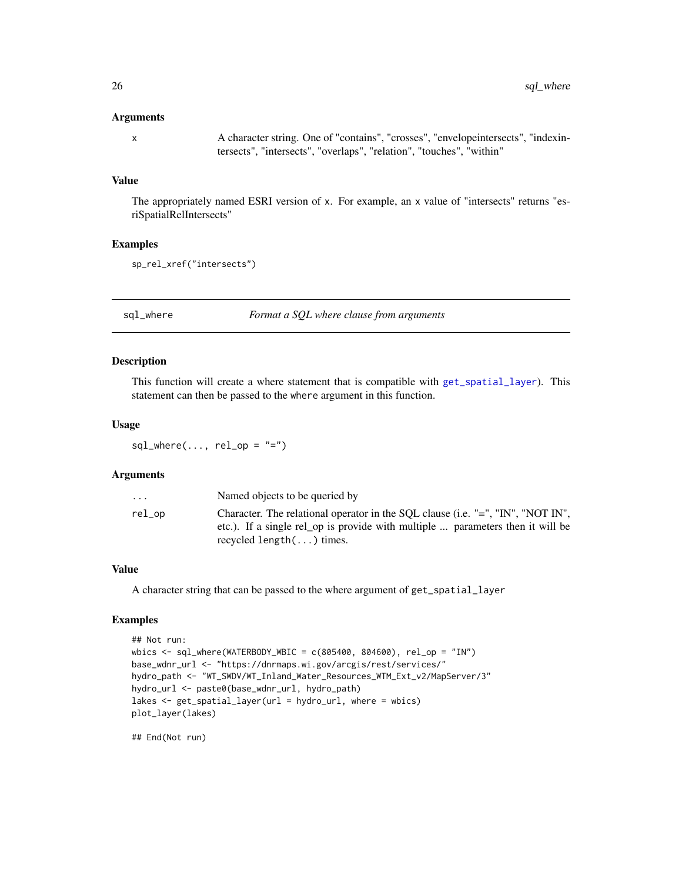#### <span id="page-25-0"></span>Arguments

x A character string. One of "contains", "crosses", "envelopeintersects", "indexintersects", "intersects", "overlaps", "relation", "touches", "within"

#### Value

The appropriately named ESRI version of x. For example, an x value of "intersects" returns "esriSpatialRelIntersects"

# Examples

```
sp_rel_xref("intersects")
```
<span id="page-25-1"></span>sql\_where *Format a SQL where clause from arguments*

# Description

This function will create a where statement that is compatible with [get\\_spatial\\_layer](#page-11-1)). This statement can then be passed to the where argument in this function.

#### Usage

 $sql\_where(..., rel\_op = "="")$ 

#### Arguments

| $\ddotsc$ | Named objects to be queried by                                                                                                                                                                         |
|-----------|--------------------------------------------------------------------------------------------------------------------------------------------------------------------------------------------------------|
| rel_op    | Character. The relational operator in the SQL clause (i.e. "=", "IN", "NOT IN",<br>etc.). If a single rel_op is provide with multiple  parameters then it will be<br>recycled length $(\ldots)$ times. |
|           |                                                                                                                                                                                                        |

# Value

A character string that can be passed to the where argument of get\_spatial\_layer

# Examples

```
## Not run:
wbics <- sql_where(WATERBODY_WBIC = c(805400, 804600), rel_op = "IN")
base_wdnr_url <- "https://dnrmaps.wi.gov/arcgis/rest/services/"
hydro_path <- "WT_SWDV/WT_Inland_Water_Resources_WTM_Ext_v2/MapServer/3"
hydro_url <- paste0(base_wdnr_url, hydro_path)
lakes <- get_spatial_layer(url = hydro_url, where = wbics)
plot_layer(lakes)
```
## End(Not run)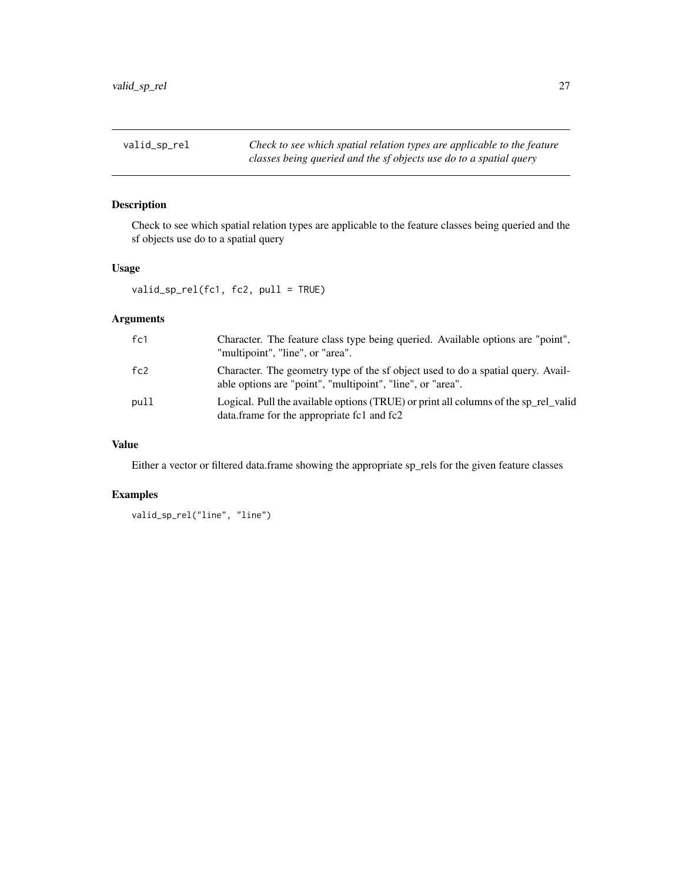<span id="page-26-0"></span>valid\_sp\_rel *Check to see which spatial relation types are applicable to the feature classes being queried and the sf objects use do to a spatial query*

# Description

Check to see which spatial relation types are applicable to the feature classes being queried and the sf objects use do to a spatial query

# Usage

valid\_sp\_rel(fc1, fc2, pull = TRUE)

# Arguments

| fc1  | Character. The feature class type being queried. Available options are "point",<br>"multipoint", "line", or "area".                            |
|------|------------------------------------------------------------------------------------------------------------------------------------------------|
| fc2  | Character. The geometry type of the sf object used to do a spatial query. Avail-<br>able options are "point", "multipoint", "line", or "area". |
| pull | Logical. Pull the available options (TRUE) or print all columns of the sp_rel_valid<br>data.frame for the appropriate fc1 and fc2              |

# Value

Either a vector or filtered data.frame showing the appropriate sp\_rels for the given feature classes

# Examples

```
valid_sp_rel("line", "line")
```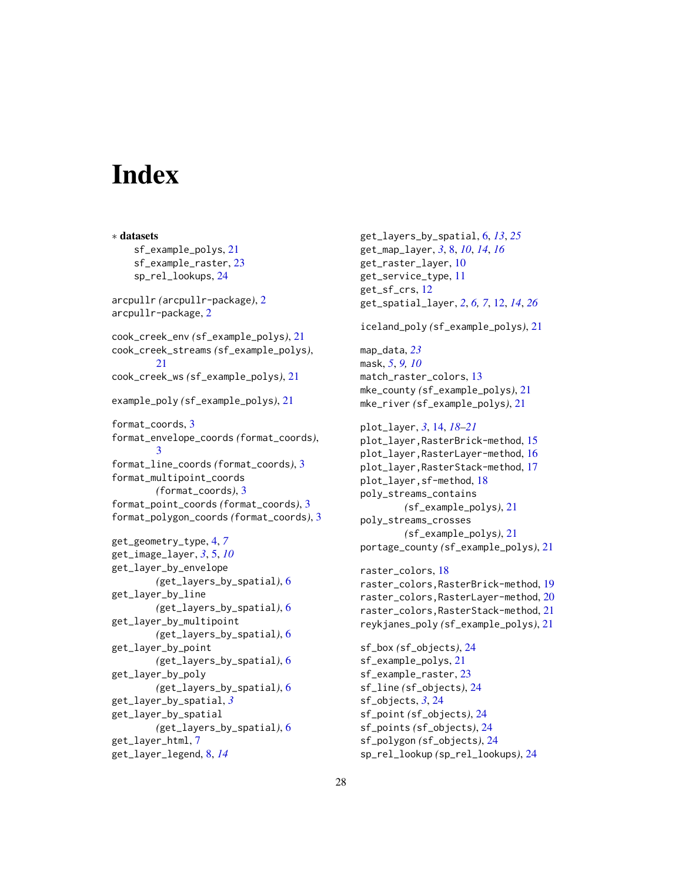# <span id="page-27-0"></span>**Index**

∗ datasets sf\_example\_polys, [21](#page-20-0) sf\_example\_raster, [23](#page-22-0) sp\_rel\_lookups, [24](#page-23-0) arcpullr *(*arcpullr-package*)*, [2](#page-1-0) arcpullr-package, [2](#page-1-0) cook\_creek\_env *(*sf\_example\_polys*)*, [21](#page-20-0) cook\_creek\_streams *(*sf\_example\_polys*)*,  $21$ cook\_creek\_ws *(*sf\_example\_polys*)*, [21](#page-20-0) example\_poly *(*sf\_example\_polys*)*, [21](#page-20-0) format\_coords, [3](#page-2-0) format\_envelope\_coords *(*format\_coords*)*, [3](#page-2-0) format\_line\_coords *(*format\_coords*)*, [3](#page-2-0) format\_multipoint\_coords *(*format\_coords*)*, [3](#page-2-0) format\_point\_coords *(*format\_coords*)*, [3](#page-2-0) format\_polygon\_coords *(*format\_coords*)*, [3](#page-2-0) get\_geometry\_type, [4,](#page-3-0) *[7](#page-6-0)* get\_image\_layer, *[3](#page-2-0)*, [5,](#page-4-0) *[10](#page-9-0)* get\_layer\_by\_envelope *(*get\_layers\_by\_spatial*)*, [6](#page-5-0) get\_layer\_by\_line *(*get\_layers\_by\_spatial*)*, [6](#page-5-0) get\_layer\_by\_multipoint *(*get\_layers\_by\_spatial*)*, [6](#page-5-0) get\_layer\_by\_point *(*get\_layers\_by\_spatial*)*, [6](#page-5-0) get\_layer\_by\_poly *(*get\_layers\_by\_spatial*)*, [6](#page-5-0) get\_layer\_by\_spatial, *[3](#page-2-0)* get\_layer\_by\_spatial *(*get\_layers\_by\_spatial*)*, [6](#page-5-0) get\_layer\_html, [7](#page-6-0) get\_layer\_legend, [8,](#page-7-0) *[14](#page-13-0)*

get\_layers\_by\_spatial, [6,](#page-5-0) *[13](#page-12-0)*, *[25](#page-24-0)* get\_map\_layer, *[3](#page-2-0)*, [8,](#page-7-0) *[10](#page-9-0)*, *[14](#page-13-0)*, *[16](#page-15-0)* get\_raster\_layer, [10](#page-9-0) get\_service\_type, [11](#page-10-0) get\_sf\_crs, [12](#page-11-0) get\_spatial\_layer, *[2](#page-1-0)*, *[6,](#page-5-0) [7](#page-6-0)*, [12,](#page-11-0) *[14](#page-13-0)*, *[26](#page-25-0)* iceland\_poly *(*sf\_example\_polys*)*, [21](#page-20-0) map\_data, *[23](#page-22-0)* mask, *[5](#page-4-0)*, *[9,](#page-8-0) [10](#page-9-0)* match\_raster\_colors, [13](#page-12-0) mke\_county *(*sf\_example\_polys*)*, [21](#page-20-0) mke\_river *(*sf\_example\_polys*)*, [21](#page-20-0) plot\_layer, *[3](#page-2-0)*, [14,](#page-13-0) *[18](#page-17-0)[–21](#page-20-0)* plot\_layer,RasterBrick-method, [15](#page-14-0) plot\_layer,RasterLayer-method, [16](#page-15-0) plot\_layer,RasterStack-method, [17](#page-16-0) plot\_layer,sf-method, [18](#page-17-0) poly\_streams\_contains *(*sf\_example\_polys*)*, [21](#page-20-0) poly\_streams\_crosses *(*sf\_example\_polys*)*, [21](#page-20-0) portage\_county *(*sf\_example\_polys*)*, [21](#page-20-0) raster\_colors, [18](#page-17-0) raster\_colors,RasterBrick-method, [19](#page-18-0) raster\_colors,RasterLayer-method, [20](#page-19-0) raster\_colors,RasterStack-method, [21](#page-20-0) reykjanes\_poly *(*sf\_example\_polys*)*, [21](#page-20-0) sf\_box *(*sf\_objects*)*, [24](#page-23-0) sf\_example\_polys, [21](#page-20-0) sf\_example\_raster, [23](#page-22-0) sf\_line *(*sf\_objects*)*, [24](#page-23-0) sf\_objects, *[3](#page-2-0)*, [24](#page-23-0) sf\_point *(*sf\_objects*)*, [24](#page-23-0) sf\_points *(*sf\_objects*)*, [24](#page-23-0) sf\_polygon *(*sf\_objects*)*, [24](#page-23-0) sp\_rel\_lookup *(*sp\_rel\_lookups*)*, [24](#page-23-0)